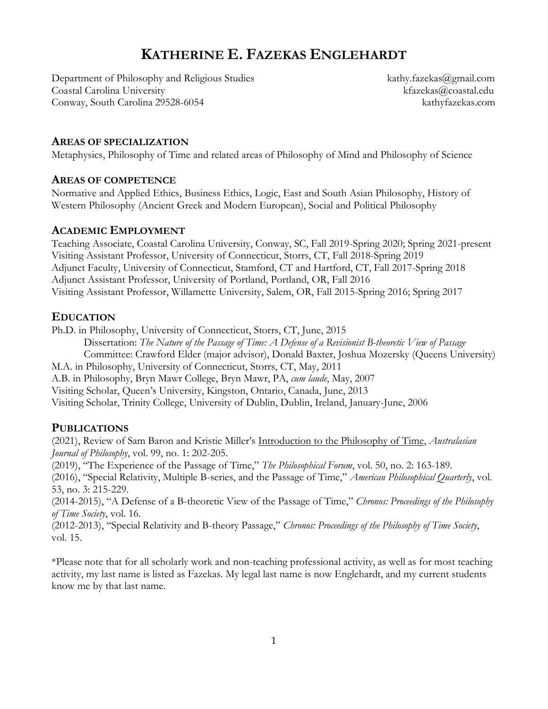# **KATHERINE E. FAZEKAS ENGLEHARDT**

Department of Philosophy and Religious Studies kathy.fazekas@gmail.com Coastal Carolina University kfazekas@coastal.edu Conway, South Carolina 29528-6054 kathyfazekas.com

### **AREAS OF SPECIALIZATION**

Metaphysics, Philosophy of Time and related areas of Philosophy of Mind and Philosophy of Science

#### **AREAS OF COMPETENCE**

Normative and Applied Ethics, Business Ethics, Logic, East and South Asian Philosophy, History of Western Philosophy (Ancient Greek and Modern European), Social and Political Philosophy

### **ACADEMIC EMPLOYMENT**

Teaching Associate, Coastal Carolina University, Conway, SC, Fall 2019-Spring 2020; Spring 2021-present Visiting Assistant Professor, University of Connecticut, Storrs, CT, Fall 2018-Spring 2019 Adjunct Faculty, University of Connecticut, Stamford, CT and Hartford, CT, Fall 2017-Spring 2018 Adjunct Assistant Professor, University of Portland, Portland, OR, Fall 2016 Visiting Assistant Professor, Willamette University, Salem, OR, Fall 2015-Spring 2016; Spring 2017

### **EDUCATION**

Ph.D. in Philosophy, University of Connecticut, Storrs, CT, June, 2015

Dissertation: *The Nature of the Passage of Time: A Defense of a Revisionist B-theoretic View of Passage* Committee: Crawford Elder (major advisor), Donald Baxter, Joshua Mozersky (Queens University) M.A. in Philosophy, University of Connecticut, Storrs, CT, May, 2011 A.B. in Philosophy, Bryn Mawr College, Bryn Mawr, PA, *cum laude*, May, 2007 Visiting Scholar, Queen's University, Kingston, Ontario, Canada, June, 2013 Visiting Scholar, Trinity College, University of Dublin, Dublin, Ireland, January-June, 2006

### **PUBLICATIONS**

(2021), Review of Sam Baron and Kristie Miller's Introduction to the Philosophy of Time, *Australasian Journal of Philosophy*, vol. 99, no. 1: 202-205.

(2019), "The Experience of the Passage of Time," *The Philosophical Forum*, vol. 50, no. 2: 163-189.

(2016), "Special Relativity, Multiple B-series, and the Passage of Time," *American Philosophical Quarterly*, vol. 53, no. 3: 215-229.

(2014-2015), "A Defense of a B-theoretic View of the Passage of Time," *Chronos: Proceedings of the Philosophy of Time Society*, vol. 16.

(2012-2013), "Special Relativity and B-theory Passage," *Chronos: Proceedings of the Philosophy of Time Society*, vol. 15.

\*Please note that for all scholarly work and non-teaching professional activity, as well as for most teaching activity, my last name is listed as Fazekas. My legal last name is now Englehardt, and my current students know me by that last name.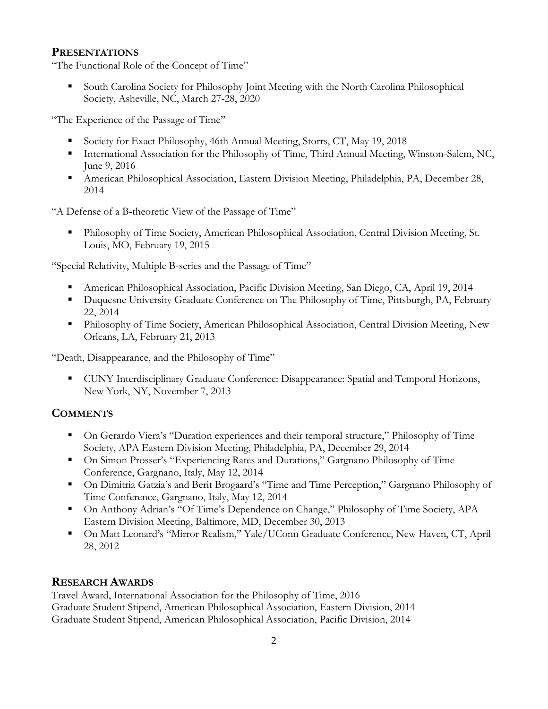### **PRESENTATIONS**

"The Functional Role of the Concept of Time"

■ South Carolina Society for Philosophy Joint Meeting with the North Carolina Philosophical Society, Asheville, NC, March 27-28, 2020

"The Experience of the Passage of Time"

- Society for Exact Philosophy, 46th Annual Meeting, Storrs, CT, May 19, 2018
- International Association for the Philosophy of Time, Third Annual Meeting, Winston-Salem, NC, June 9, 2016
- American Philosophical Association, Eastern Division Meeting, Philadelphia, PA, December 28, 2014

"A Defense of a B-theoretic View of the Passage of Time"

▪ Philosophy of Time Society, American Philosophical Association, Central Division Meeting, St. Louis, MO, February 19, 2015

"Special Relativity, Multiple B-series and the Passage of Time"

- American Philosophical Association, Pacific Division Meeting, San Diego, CA, April 19, 2014
- Duquesne University Graduate Conference on The Philosophy of Time, Pittsburgh, PA, February 22, 2014
- **•** Philosophy of Time Society, American Philosophical Association, Central Division Meeting, New Orleans, LA, February 21, 2013

"Death, Disappearance, and the Philosophy of Time"

■ CUNY Interdisciplinary Graduate Conference: Disappearance: Spatial and Temporal Horizons, New York, NY, November 7, 2013

# **COMMENTS**

- On Gerardo Viera's "Duration experiences and their temporal structure," Philosophy of Time Society, APA Eastern Division Meeting, Philadelphia, PA, December 29, 2014
- On Simon Prosser's "Experiencing Rates and Durations," Gargnano Philosophy of Time Conference, Gargnano, Italy, May 12, 2014
- On Dimitria Gatzia's and Berit Brogaard's "Time and Time Perception," Gargnano Philosophy of Time Conference, Gargnano, Italy, May 12, 2014
- On Anthony Adrian's "Of Time's Dependence on Change," Philosophy of Time Society, APA Eastern Division Meeting, Baltimore, MD, December 30, 2013
- On Matt Leonard's "Mirror Realism," Yale/UConn Graduate Conference, New Haven, CT, April 28, 2012

# **RESEARCH AWARDS**

Travel Award, International Association for the Philosophy of Time, 2016 Graduate Student Stipend, American Philosophical Association, Eastern Division, 2014 Graduate Student Stipend, American Philosophical Association, Pacific Division, 2014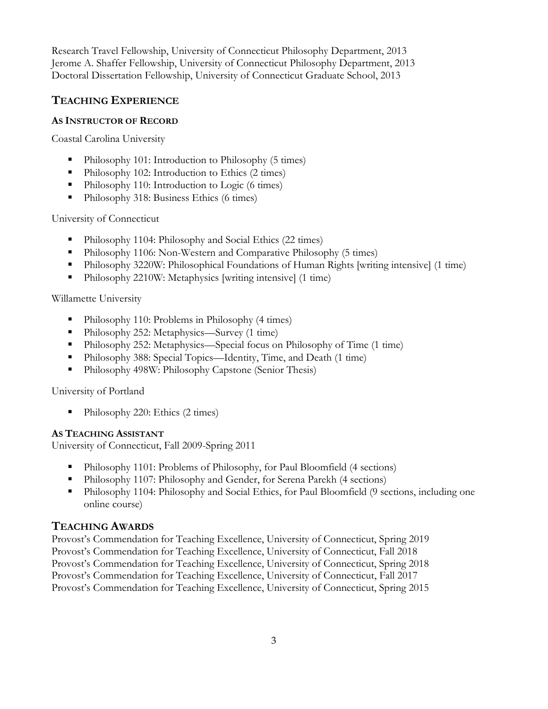Research Travel Fellowship, University of Connecticut Philosophy Department, 2013 Jerome A. Shaffer Fellowship, University of Connecticut Philosophy Department, 2013 Doctoral Dissertation Fellowship, University of Connecticut Graduate School, 2013

# **TEACHING EXPERIENCE**

### **AS INSTRUCTOR OF RECORD**

Coastal Carolina University

- Philosophy 101: Introduction to Philosophy (5 times)
- Philosophy 102: Introduction to Ethics (2 times)
- Philosophy 110: Introduction to Logic (6 times)
- Philosophy 318: Business Ethics (6 times)

University of Connecticut

- Philosophy 1104: Philosophy and Social Ethics (22 times)
- Philosophy 1106: Non-Western and Comparative Philosophy (5 times)
- Philosophy 3220W: Philosophical Foundations of Human Rights [writing intensive] (1 time)
- Philosophy 2210W: Metaphysics [writing intensive] (1 time)

Willamette University

- Philosophy 110: Problems in Philosophy (4 times)
- Philosophy 252: Metaphysics—Survey (1 time)
- Philosophy 252: Metaphysics—Special focus on Philosophy of Time (1 time)
- Philosophy 388: Special Topics—Identity, Time, and Death (1 time)
- Philosophy 498W: Philosophy Capstone (Senior Thesis)

University of Portland

■ Philosophy 220: Ethics (2 times)

### **AS TEACHING ASSISTANT**

University of Connecticut, Fall 2009-Spring 2011

- Philosophy 1101: Problems of Philosophy, for Paul Bloomfield (4 sections)
- Philosophy 1107: Philosophy and Gender, for Serena Parekh (4 sections)
- Philosophy 1104: Philosophy and Social Ethics, for Paul Bloomfield (9 sections, including one online course)

# **TEACHING AWARDS**

Provost's Commendation for Teaching Excellence, University of Connecticut, Spring 2019 Provost's Commendation for Teaching Excellence, University of Connecticut, Fall 2018 Provost's Commendation for Teaching Excellence, University of Connecticut, Spring 2018 Provost's Commendation for Teaching Excellence, University of Connecticut, Fall 2017 Provost's Commendation for Teaching Excellence, University of Connecticut, Spring 2015